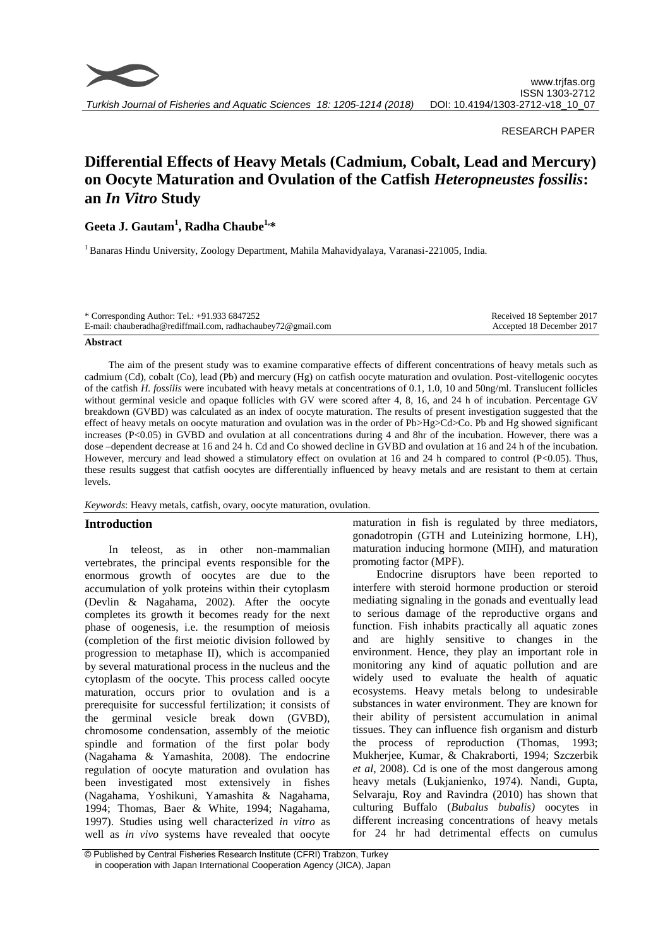

## RESEARCH PAPER

# **Differential Effects of Heavy Metals (Cadmium, Cobalt, Lead and Mercury) on Oocyte Maturation and Ovulation of the Catfish** *Heteropneustes fossilis***: an** *In Vitro* **Study**

## **Geeta J. Gautam<sup>1</sup> , Radha Chaube1,\***

<sup>1</sup>Banaras Hindu University, Zoology Department, Mahila Mahavidyalaya, Varanasi-221005, India.

| * Corresponding Author: Tel.: $+91.933\,6847252$             | Received 18 September 2017 |
|--------------------------------------------------------------|----------------------------|
| E-mail: chauberadha@rediffmail.com, radhachaubey72@gmail.com | Accepted 18 December 2017  |

#### **Abstract**

The aim of the present study was to examine comparative effects of different concentrations of heavy metals such as cadmium (Cd), cobalt (Co), lead (Pb) and mercury (Hg) on catfish oocyte maturation and ovulation. Post-vitellogenic oocytes of the catfish *H. fossilis* were incubated with heavy metals at concentrations of 0.1, 1.0, 10 and 50ng/ml. Translucent follicles without germinal vesicle and opaque follicles with GV were scored after 4, 8, 16, and 24 h of incubation. Percentage GV breakdown (GVBD) was calculated as an index of oocyte maturation. The results of present investigation suggested that the effect of heavy metals on oocyte maturation and ovulation was in the order of Pb>Hg>Cd>Co. Pb and Hg showed significant increases (P<0.05) in GVBD and ovulation at all concentrations during 4 and 8hr of the incubation. However, there was a dose –dependent decrease at 16 and 24 h. Cd and Co showed decline in GVBD and ovulation at 16 and 24 h of the incubation. However, mercury and lead showed a stimulatory effect on ovulation at 16 and 24 h compared to control (P<0.05). Thus, these results suggest that catfish oocytes are differentially influenced by heavy metals and are resistant to them at certain levels.

*Keywords*: Heavy metals, catfish, ovary, oocyte maturation, ovulation.

## **Introduction**

In teleost, as in other non-mammalian vertebrates, the principal events responsible for the enormous growth of oocytes are due to the accumulation of yolk proteins within their cytoplasm (Devlin & Nagahama, 2002). After the oocyte completes its growth it becomes ready for the next phase of oogenesis, i.e. the resumption of meiosis (completion of the first meiotic division followed by progression to metaphase II), which is accompanied by several maturational process in the nucleus and the cytoplasm of the oocyte. This process called oocyte maturation, occurs prior to ovulation and is a prerequisite for successful fertilization; it consists of the germinal vesicle break down (GVBD), chromosome condensation, assembly of the meiotic spindle and formation of the first polar body (Nagahama & Yamashita, 2008). The endocrine regulation of oocyte maturation and ovulation has been investigated most extensively in fishes (Nagahama, Yoshikuni, Yamashita & Nagahama, 1994; Thomas, Baer & White, 1994; Nagahama, 1997). Studies using well characterized *in vitro* as well as *in vivo* systems have revealed that oocyte maturation in fish is regulated by three mediators, gonadotropin (GTH and Luteinizing hormone, LH), maturation inducing hormone (MIH), and maturation promoting factor (MPF).

Endocrine disruptors have been reported to interfere with steroid hormone production or steroid mediating signaling in the gonads and eventually lead to serious damage of the reproductive organs and function. Fish inhabits practically all aquatic zones and are highly sensitive to changes in the environment. Hence, they play an important role in monitoring any kind of aquatic pollution and are widely used to evaluate the health of aquatic ecosystems. Heavy metals belong to undesirable substances in water environment. They are known for their ability of persistent accumulation in animal tissues. They can influence fish organism and disturb the process of reproduction (Thomas, 1993; Mukherjee, Kumar, & Chakraborti, 1994; Szczerbik *et al*, 2008). Cd is one of the most dangerous among heavy metals (Łukjanienko, 1974). Nandi, Gupta, Selvaraju, Roy and Ravindra (2010) has shown that culturing Buffalo (*Bubalus bubalis)* oocytes in different increasing concentrations of heavy metals for 24 hr had detrimental effects on cumulus

<sup>©</sup> Published by Central Fisheries Research Institute (CFRI) Trabzon, Turkey in cooperation with Japan International Cooperation Agency (JICA), Japan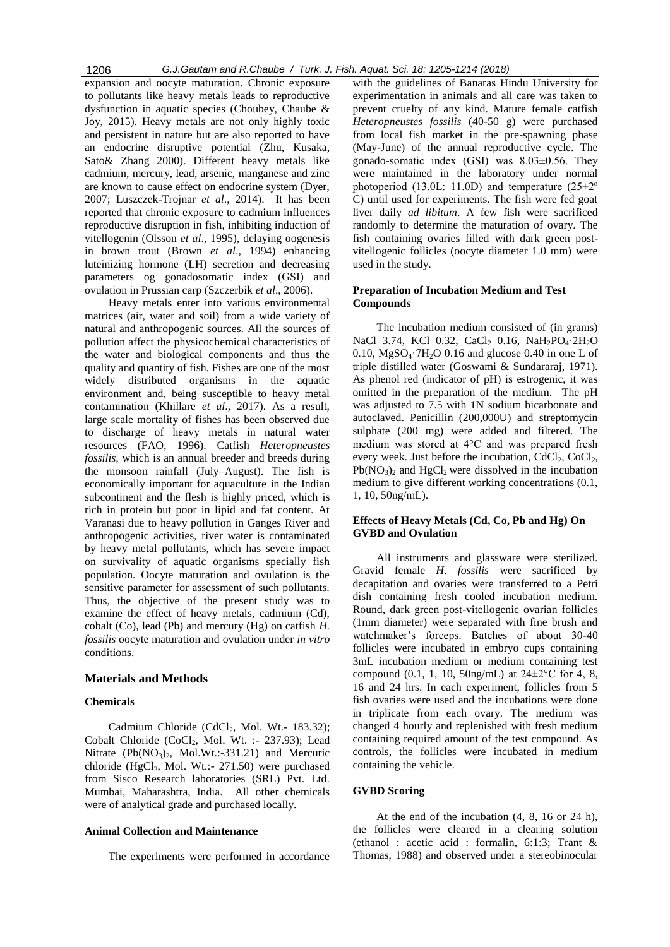expansion and oocyte maturation. Chronic exposure to pollutants like heavy metals leads to reproductive dysfunction in aquatic species (Choubey, Chaube & Joy, 2015). Heavy metals are not only highly toxic and persistent in nature but are also reported to have an endocrine disruptive potential (Zhu, Kusaka, Sato& Zhang 2000). Different heavy metals like cadmium, mercury, lead, arsenic, manganese and zinc are known to cause effect on endocrine system (Dyer, 2007; Luszczek-Trojnar *et al*., 2014). It has been reported that chronic exposure to cadmium influences reproductive disruption in fish, inhibiting induction of vitellogenin (Olsson *et al*., 1995), delaying oogenesis in brown trout (Brown *et al*., 1994) enhancing luteinizing hormone (LH) secretion and decreasing parameters og gonadosomatic index (GSI) and ovulation in Prussian carp (Szczerbik *et al*., 2006).

Heavy metals enter into various environmental matrices (air, water and soil) from a wide variety of natural and anthropogenic sources. All the sources of pollution affect the physicochemical characteristics of the water and biological components and thus the quality and quantity of fish. Fishes are one of the most widely distributed organisms in the aquatic environment and, being susceptible to heavy metal contamination (Khillare *et al*., 2017). As a result, large scale mortality of fishes has been observed due to discharge of heavy metals in natural water resources (FAO, 1996). Catfish *Heteropneustes fossilis,* which is an annual breeder and breeds during the monsoon rainfall (July–August). The fish is economically important for aquaculture in the Indian subcontinent and the flesh is highly priced, which is rich in protein but poor in lipid and fat content. At Varanasi due to heavy pollution in Ganges River and anthropogenic activities, river water is contaminated by heavy metal pollutants, which has severe impact on survivality of aquatic organisms specially fish population. Oocyte maturation and ovulation is the sensitive parameter for assessment of such pollutants. Thus, the objective of the present study was to examine the effect of heavy metals, cadmium (Cd), cobalt (Co), lead (Pb) and mercury (Hg) on catfish *H. fossilis* oocyte maturation and ovulation under *in vitro* conditions.

## **Materials and Methods**

#### **Chemicals**

Cadmium Chloride (CdCl<sub>2</sub>, Mol. Wt.- 183.32); Cobalt Chloride (CoCl<sub>2</sub>, Mol. Wt. :- 237.93); Lead Nitrate  $(Pb(NO<sub>3</sub>)<sub>2</sub>$ , Mol.Wt.:-331.21) and Mercuric chloride (HgCl<sub>2</sub>, Mol. Wt.:- 271.50) were purchased from Sisco Research laboratories (SRL) Pvt. Ltd. Mumbai, Maharashtra, India. All other chemicals were of analytical grade and purchased locally.

## **Animal Collection and Maintenance**

The experiments were performed in accordance

with the guidelines of Banaras Hindu University for experimentation in animals and all care was taken to prevent cruelty of any kind. Mature female catfish *Heteropneustes fossilis* (40-50 g) were purchased from local fish market in the pre-spawning phase (May-June) of the annual reproductive cycle. The gonado-somatic index (GSI) was 8.03±0.56. They were maintained in the laboratory under normal photoperiod (13.0L: 11.0D) and temperature (25±2º C) until used for experiments. The fish were fed goat liver daily *ad libitum*. A few fish were sacrificed randomly to determine the maturation of ovary. The fish containing ovaries filled with dark green postvitellogenic follicles (oocyte diameter 1.0 mm) were used in the study.

## **Preparation of Incubation Medium and Test Compounds**

The incubation medium consisted of (in grams) NaCl 3.74, KCl 0.32, CaCl, 0.16, NaH<sub>2</sub>PO<sub>4</sub>·2H<sub>2</sub>O 0.10,  $MgSO<sub>4</sub>$ <sup>-7</sup>H<sub>2</sub>O 0.16 and glucose 0.40 in one L of triple distilled water (Goswami & Sundararaj, 1971). As phenol red (indicator of pH) is estrogenic, it was omitted in the preparation of the medium. The pH was adjusted to 7.5 with 1N sodium bicarbonate and autoclaved. Penicillin (200,000U) and streptomycin sulphate (200 mg) were added and filtered. The medium was stored at 4°C and was prepared fresh every week. Just before the incubation,  $CdCl<sub>2</sub>$ ,  $CoCl<sub>2</sub>$ ,  $Pb(NO_3)$ <sub>2</sub> and HgCl<sub>2</sub> were dissolved in the incubation medium to give different working concentrations (0.1, 1, 10, 50ng/mL).

## **Effects of Heavy Metals (Cd, Co, Pb and Hg) On GVBD and Ovulation**

All instruments and glassware were sterilized. Gravid female *H. fossilis* were sacrificed by decapitation and ovaries were transferred to a Petri dish containing fresh cooled incubation medium. Round, dark green post-vitellogenic ovarian follicles (1mm diameter) were separated with fine brush and watchmaker's forceps. Batches of about 30-40 follicles were incubated in embryo cups containing 3mL incubation medium or medium containing test compound (0.1, 1, 10, 50ng/mL) at  $24 \pm 2^{\circ}$ C for 4, 8, 16 and 24 hrs. In each experiment, follicles from 5 fish ovaries were used and the incubations were done in triplicate from each ovary. The medium was changed 4 hourly and replenished with fresh medium containing required amount of the test compound. As controls, the follicles were incubated in medium containing the vehicle.

#### **GVBD Scoring**

At the end of the incubation (4, 8, 16 or 24 h), the follicles were cleared in a clearing solution (ethanol : acetic acid : formalin, 6:1:3; Trant & Thomas, 1988) and observed under a stereobinocular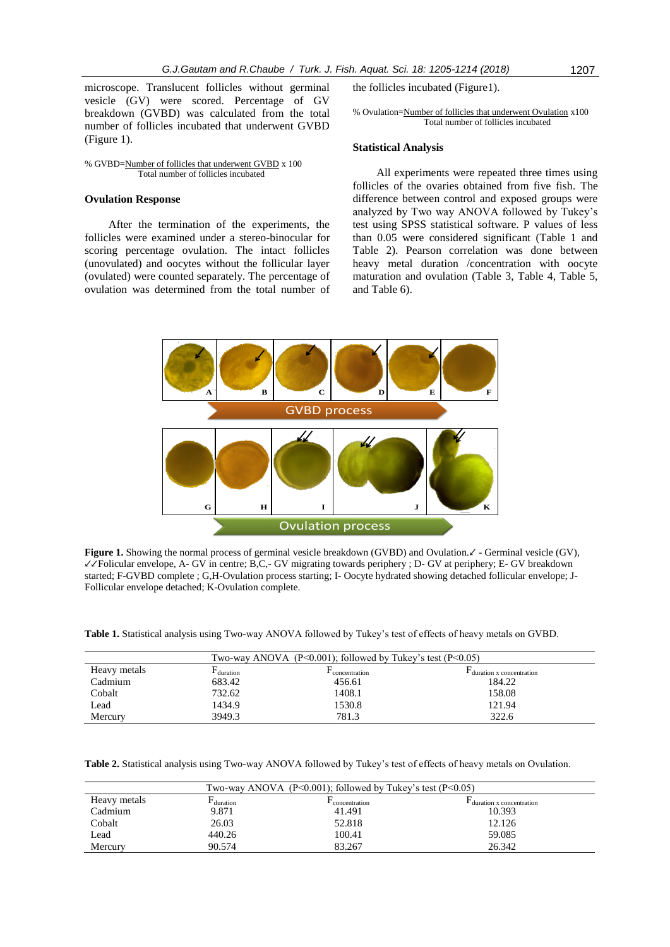microscope. Translucent follicles without germinal vesicle (GV) were scored. Percentage of GV breakdown (GVBD) was calculated from the total number of follicles incubated that underwent GVBD (Figure 1).

#### % GVBD=Number of follicles that underwent GVBD x 100 Total number of follicles incubated

#### **Ovulation Response**

After the termination of the experiments, the follicles were examined under a stereo-binocular for scoring percentage ovulation. The intact follicles (unovulated) and oocytes without the follicular layer (ovulated) were counted separately. The percentage of ovulation was determined from the total number of the follicles incubated (Figure1).

% Ovulation=Number of follicles that underwent Ovulation x100 Total number of follicles incubated

#### **Statistical Analysis**

All experiments were repeated three times using follicles of the ovaries obtained from five fish. The difference between control and exposed groups were analyzed by Two way ANOVA followed by Tukey's test using SPSS statistical software. P values of less than 0.05 were considered significant (Table 1 and Table 2). Pearson correlation was done between heavy metal duration /concentration with oocyte maturation and ovulation (Table 3, Table 4, Table 5, and Table 6).



**Figure 1.** Showing the normal process of germinal vesicle breakdown (GVBD) and Ovulation.↙ - Germinal vesicle (GV), ↙↙Folicular envelope, A- GV in centre; B,C,- GV migrating towards periphery ; D- GV at periphery; E- GV breakdown started; F-GVBD complete ; G,H-Ovulation process starting; I- Oocyte hydrated showing detached follicular envelope; J-Follicular envelope detached; K-Ovulation complete.

**Table 1.** Statistical analysis using Two-way ANOVA followed by Tukey's test of effects of heavy metals on GVBD.

| Two-way ANOVA (P<0.001); followed by Tukey's test (P<0.05) |          |               |                          |  |  |
|------------------------------------------------------------|----------|---------------|--------------------------|--|--|
| Heavy metals                                               | duration | concentration | duration x concentration |  |  |
| Cadmium                                                    | 683.42   | 456.61        | 184.22                   |  |  |
| Cobalt                                                     | 732.62   | 1408.1        | 158.08                   |  |  |
| Lead                                                       | 1434.9   | 1530.8        | 121.94                   |  |  |
| Mercury                                                    | 3949.3   | 781.3         | 322.6                    |  |  |

**Table 2.** Statistical analysis using Two-way ANOVA followed by Tukey's test of effects of heavy metals on Ovulation.

| Two-way ANOVA ( $P \le 0.001$ ); followed by Tukey's test ( $P \le 0.05$ ) |          |               |                          |  |  |
|----------------------------------------------------------------------------|----------|---------------|--------------------------|--|--|
| Heavy metals                                                               | duration | concentration | duration x concentration |  |  |
| Cadmium                                                                    | 9.871    | 41.491        | 10.393                   |  |  |
| Cobalt                                                                     | 26.03    | 52.818        | 12.126                   |  |  |
| Lead                                                                       | 440.26   | 100.41        | 59.085                   |  |  |
| Mercury                                                                    | 90.574   | 83.267        | 26.342                   |  |  |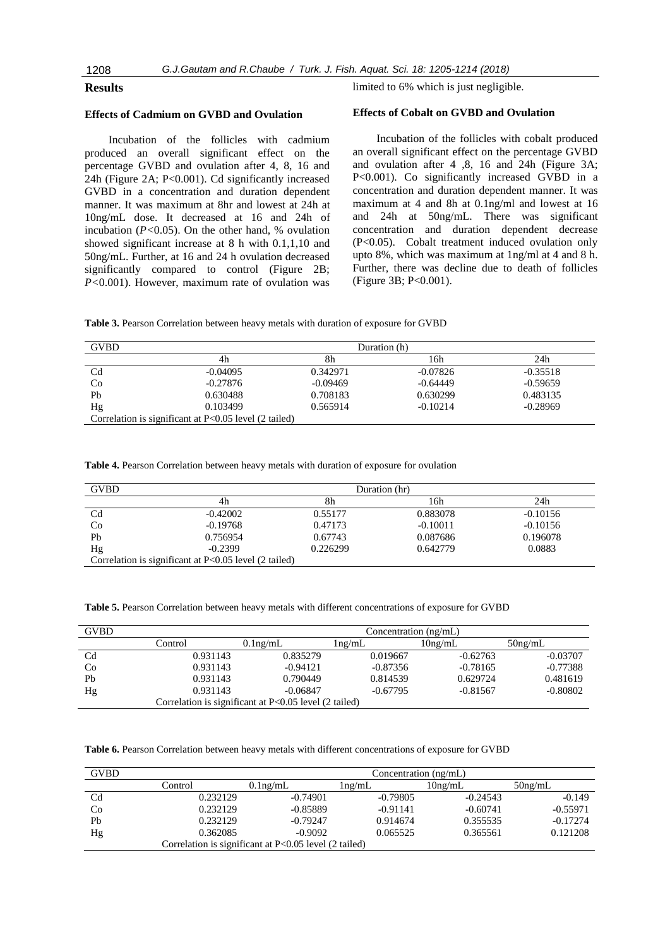## **Results**

## **Effects of Cadmium on GVBD and Ovulation**

Incubation of the follicles with cadmium produced an overall significant effect on the percentage GVBD and ovulation after 4, 8, 16 and 24h (Figure 2A; P<0.001). Cd significantly increased GVBD in a concentration and duration dependent manner. It was maximum at 8hr and lowest at 24h at 10ng/mL dose. It decreased at 16 and 24h of incubation  $(P<0.05)$ . On the other hand, % ovulation showed significant increase at 8 h with 0.1,1,10 and 50ng/mL. Further, at 16 and 24 h ovulation decreased significantly compared to control (Figure 2B; *P<*0.001). However, maximum rate of ovulation was limited to 6% which is just negligible.

#### **Effects of Cobalt on GVBD and Ovulation**

Incubation of the follicles with cobalt produced an overall significant effect on the percentage GVBD and ovulation after 4 ,8, 16 and 24h (Figure 3A; P<0.001). Co significantly increased GVBD in a concentration and duration dependent manner. It was maximum at 4 and 8h at 0.1ng/ml and lowest at 16 and 24h at 50ng/mL. There was significant concentration and duration dependent decrease (P<0.05). Cobalt treatment induced ovulation only upto 8%, which was maximum at 1ng/ml at 4 and 8 h. Further, there was decline due to death of follicles (Figure 3B; P<0.001).

**Table 3.** Pearson Correlation between heavy metals with duration of exposure for GVBD

| <b>GVBD</b>                                             |            | Duration (h) |            |            |  |  |
|---------------------------------------------------------|------------|--------------|------------|------------|--|--|
|                                                         | 4h         | 8h           | 16h        | 24h        |  |  |
| C <sub>d</sub>                                          | $-0.04095$ | 0.342971     | $-0.07826$ | $-0.35518$ |  |  |
| Co                                                      | $-0.27876$ | $-0.09469$   | $-0.64449$ | $-0.59659$ |  |  |
| Pb                                                      | 0.630488   | 0.708183     | 0.630299   | 0.483135   |  |  |
| Hg                                                      | 0.103499   | 0.565914     | $-0.10214$ | $-0.28969$ |  |  |
| Correlation is significant at $P<0.05$ level (2 tailed) |            |              |            |            |  |  |

**Table 4.** Pearson Correlation between heavy metals with duration of exposure for ovulation

| <b>GVBD</b>                                             |            | Duration (hr) |            |            |  |  |
|---------------------------------------------------------|------------|---------------|------------|------------|--|--|
|                                                         | 4h         | 8h            | l 6h       | 24h        |  |  |
| C <sub>d</sub>                                          | $-0.42002$ | 0.55177       | 0.883078   | $-0.10156$ |  |  |
| Co                                                      | $-0.19768$ | 0.47173       | $-0.10011$ | $-0.10156$ |  |  |
| Pb                                                      | 0.756954   | 0.67743       | 0.087686   | 0.196078   |  |  |
| Hg                                                      | $-0.2399$  | 0.226299      | 0.642779   | 0.0883     |  |  |
| Correlation is significant at $P<0.05$ level (2 tailed) |            |               |            |            |  |  |

| <b>GVBD</b> |                                                         | Concentration $(ng/mL)$ |            |            |            |  |
|-------------|---------------------------------------------------------|-------------------------|------------|------------|------------|--|
|             | Control                                                 | $0.1$ ng/mL             | lng/mL     | $10$ ng/mL | $50$ ng/mL |  |
| Cd          | 0.931143                                                | 0.835279                | 0.019667   | $-0.62763$ | $-0.03707$ |  |
| Co          | 0.931143                                                | $-0.94121$              | $-0.87356$ | $-0.78165$ | $-0.77388$ |  |
| Pb          | 0.931143                                                | 0.790449                | 0.814539   | 0.629724   | 0.481619   |  |
| Hg          | 0.931143                                                | $-0.06847$              | $-0.67795$ | $-0.81567$ | $-0.80802$ |  |
|             | Correlation is significant at $P<0.05$ level (2 tailed) |                         |            |            |            |  |

**Table 6.** Pearson Correlation between heavy metals with different concentrations of exposure for GVBD

| <b>GVBD</b>    |                                                         | Concentration $(ng/mL)$ |            |            |            |  |
|----------------|---------------------------------------------------------|-------------------------|------------|------------|------------|--|
|                | Control                                                 | $0.1$ ng/mL             | lng/mL     | $10$ ng/mL | $50$ ng/mL |  |
| C <sub>d</sub> | 0.232129                                                | $-0.74901$              | $-0.79805$ | $-0.24543$ | $-0.149$   |  |
| Co             | 0.232129                                                | $-0.85889$              | $-0.91141$ | $-0.60741$ | $-0.55971$ |  |
| Pb             | 0.232129                                                | $-0.79247$              | 0.914674   | 0.355535   | $-0.17274$ |  |
| Hg             | 0.362085                                                | $-0.9092$               | 0.065525   | 0.365561   | 0.121208   |  |
|                | Correlation is significant at $P<0.05$ level (2 tailed) |                         |            |            |            |  |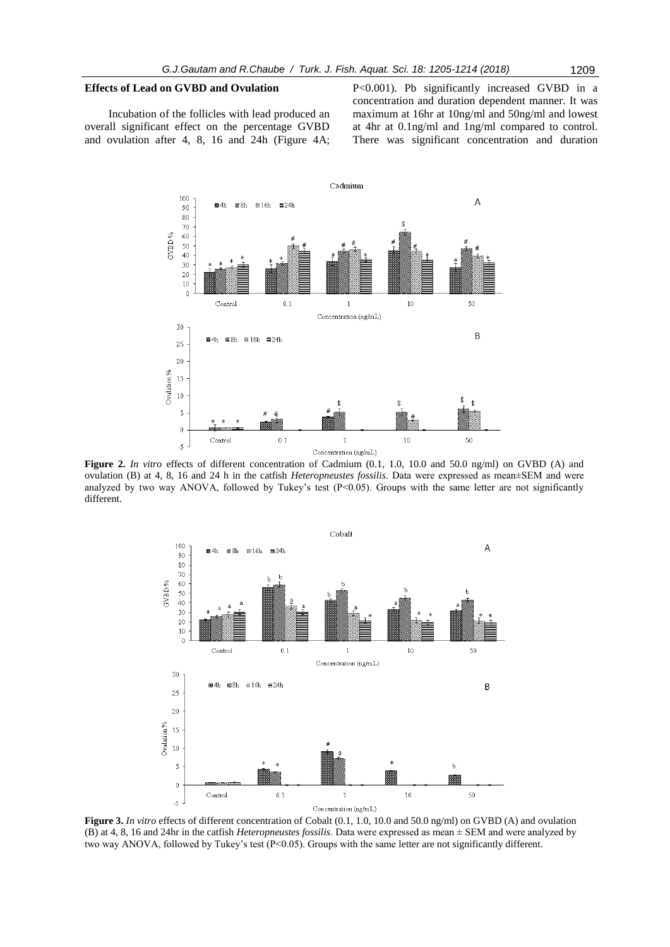#### **Effects of Lead on GVBD and Ovulation**

Incubation of the follicles with lead produced an overall significant effect on the percentage GVBD and ovulation after 4, 8, 16 and 24h (Figure 4A; P<0.001). Pb significantly increased GVBD in a concentration and duration dependent manner. It was maximum at 16hr at 10ng/ml and 50ng/ml and lowest at 4hr at 0.1ng/ml and 1ng/ml compared to control. There was significant concentration and duration



**Figure 2.** *In vitro* effects of different concentration of Cadmium (0.1, 1.0, 10.0 and 50.0 ng/ml) on GVBD (A) and ovulation (B) at 4, 8, 16 and 24 h in the catfish *Heteropneustes fossilis*. Data were expressed as mean±SEM and were analyzed by two way ANOVA, followed by Tukey's test  $(P<0.05)$ . Groups with the same letter are not significantly different.



**Figure 3.** *In vitro* effects of different concentration of Cobalt (0.1, 1.0, 10.0 and 50.0 ng/ml) on GVBD (A) and ovulation (B) at 4, 8, 16 and 24hr in the catfish *Heteropneustes fossilis*. Data were expressed as mean ± SEM and were analyzed by two way ANOVA, followed by Tukey's test  $(P<0.05)$ . Groups with the same letter are not significantly different.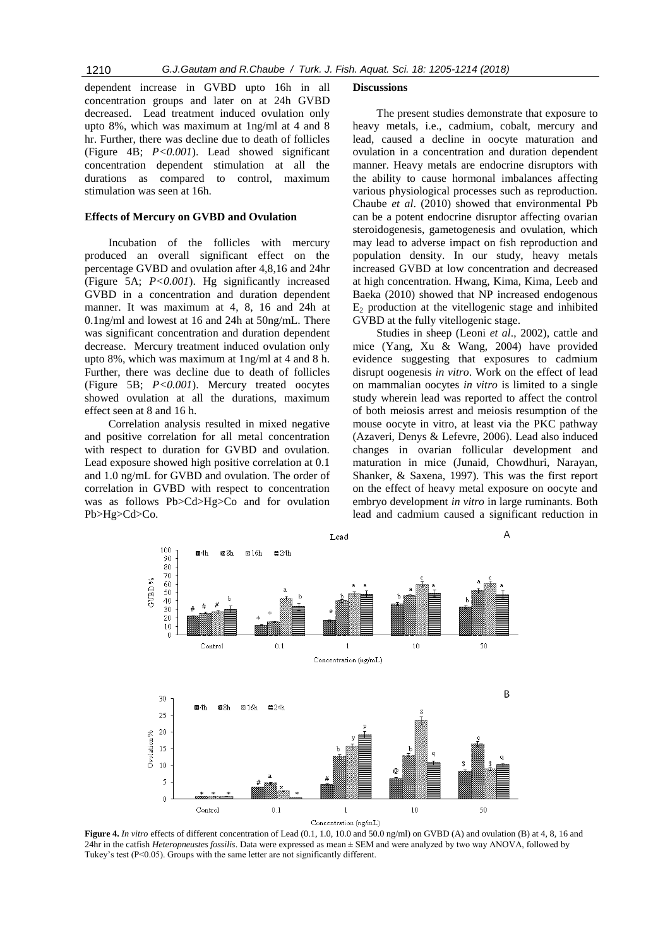dependent increase in GVBD upto 16h in all concentration groups and later on at 24h GVBD decreased. Lead treatment induced ovulation only upto 8%, which was maximum at 1ng/ml at 4 and 8 hr. Further, there was decline due to death of follicles (Figure 4B; *P<0.001*). Lead showed significant concentration dependent stimulation at all the durations as compared to control, maximum stimulation was seen at 16h.

#### **Effects of Mercury on GVBD and Ovulation**

Incubation of the follicles with mercury produced an overall significant effect on the percentage GVBD and ovulation after 4,8,16 and 24hr (Figure 5A; *P<0.001*). Hg significantly increased GVBD in a concentration and duration dependent manner. It was maximum at 4, 8, 16 and 24h at 0.1ng/ml and lowest at 16 and 24h at 50ng/mL. There was significant concentration and duration dependent decrease. Mercury treatment induced ovulation only upto 8%, which was maximum at 1ng/ml at 4 and 8 h. Further, there was decline due to death of follicles (Figure 5B; *P<0.001*). Mercury treated oocytes showed ovulation at all the durations, maximum effect seen at 8 and 16 h.

Correlation analysis resulted in mixed negative and positive correlation for all metal concentration with respect to duration for GVBD and ovulation. Lead exposure showed high positive correlation at 0.1 and 1.0 ng/mL for GVBD and ovulation. The order of correlation in GVBD with respect to concentration was as follows Pb>Cd>Hg>Co and for ovulation Pb>Hg>Cd>Co.

#### **Discussions**

The present studies demonstrate that exposure to heavy metals, i.e., cadmium, cobalt, mercury and lead, caused a decline in oocyte maturation and ovulation in a concentration and duration dependent manner. Heavy metals are endocrine disruptors with the ability to cause hormonal imbalances affecting various physiological processes such as reproduction. Chaube *et al*. (2010) showed that environmental Pb can be a potent endocrine disruptor affecting ovarian steroidogenesis, gametogenesis and ovulation, which may lead to adverse impact on fish reproduction and population density. In our study, heavy metals increased GVBD at low concentration and decreased at high concentration. Hwang, Kima, Kima, Leeb and Baeka (2010) showed that NP increased endogenous  $E_2$  production at the vitellogenic stage and inhibited GVBD at the fully vitellogenic stage.

Studies in sheep (Leoni *et al*., 2002), cattle and mice (Yang, Xu & Wang, 2004) have provided evidence suggesting that exposures to cadmium disrupt oogenesis *in vitro*. Work on the effect of lead on mammalian oocytes *in vitro* is limited to a single study wherein lead was reported to affect the control of both meiosis arrest and meiosis resumption of the mouse oocyte in vitro, at least via the PKC pathway (Azaveri, Denys & Lefevre, 2006). Lead also induced changes in ovarian follicular development and maturation in mice (Junaid, Chowdhuri, Narayan, Shanker, & Saxena, 1997). This was the first report on the effect of heavy metal exposure on oocyte and embryo development *in vitro* in large ruminants. Both lead and cadmium caused a significant reduction in



**Figure 4.** *In vitro* effects of different concentration of Lead (0.1, 1.0, 10.0 and 50.0 ng/ml) on GVBD (A) and ovulation (B) at 4, 8, 16 and 24hr in the catfish *Heteropneustes fossilis*. Data were expressed as mean ± SEM and were analyzed by two way ANOVA, followed by Tukey's test (P<0.05). Groups with the same letter are not significantly different.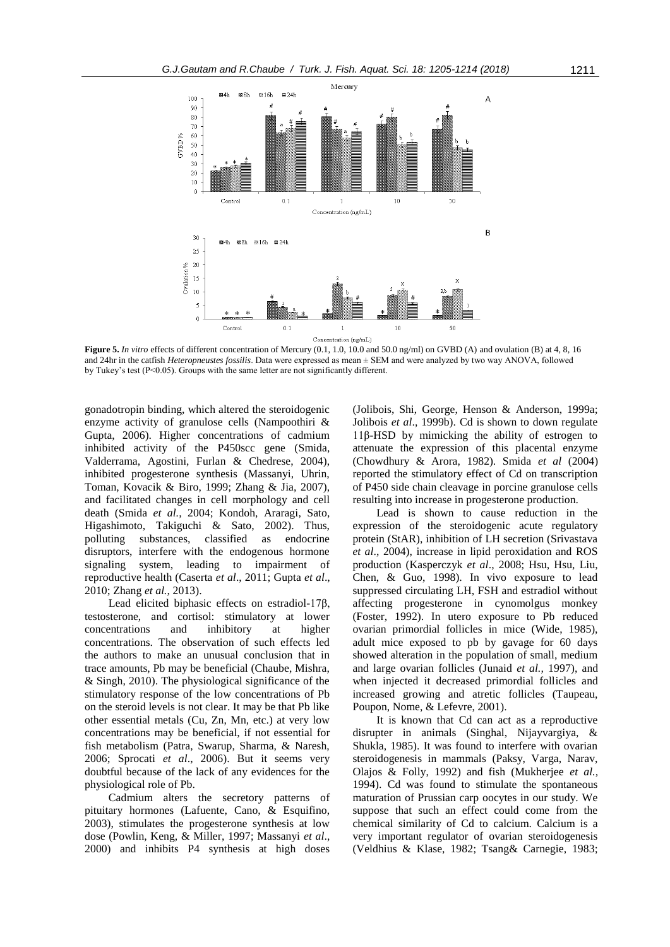

Concentration (ng/mL)

**Figure 5.** *In vitro* effects of different concentration of Mercury (0.1, 1.0, 10.0 and 50.0 ng/ml) on GVBD (A) and ovulation (B) at 4, 8, 16 and 24hr in the catfish *Heteropneustes fossilis*. Data were expressed as mean ± SEM and were analyzed by two way ANOVA, followed by Tukey's test (P<0.05). Groups with the same letter are not significantly different.

gonadotropin binding, which altered the steroidogenic enzyme activity of granulose cells (Nampoothiri & Gupta, 2006). Higher concentrations of cadmium inhibited activity of the P450scc gene (Smida, Valderrama, Agostini, Furlan & Chedrese, 2004), inhibited progesterone synthesis (Massanyi, Uhrin, Toman, Kovacik & Biro, 1999; Zhang & Jia, 2007), and facilitated changes in cell morphology and cell death (Smida *et al.,* 2004; Kondoh, Araragi, Sato, Higashimoto, Takiguchi & Sato, 2002). Thus, polluting substances, classified as endocrine disruptors, interfere with the endogenous hormone signaling system, leading to impairment of reproductive health (Caserta *et al*., 2011; Gupta *et al*., 2010; Zhang *et al.,* 2013).

Lead elicited biphasic effects on estradiol-17β, testosterone, and cortisol: stimulatory at lower concentrations and inhibitory at higher concentrations. The observation of such effects led the authors to make an unusual conclusion that in trace amounts, Pb may be beneficial (Chaube, Mishra, & Singh, 2010). The physiological significance of the stimulatory response of the low concentrations of Pb on the steroid levels is not clear. It may be that Pb like other essential metals (Cu, Zn, Mn, etc.) at very low concentrations may be beneficial, if not essential for fish metabolism (Patra, Swarup, Sharma, & Naresh, 2006; Sprocati *et al*., 2006). But it seems very doubtful because of the lack of any evidences for the physiological role of Pb.

Cadmium alters the secretory patterns of pituitary hormones (Lafuente, Cano, & Esquifino, 2003), stimulates the progesterone synthesis at low dose (Powlin, Keng, & Miller, 1997; Massanyi *et al*., 2000) and inhibits P4 synthesis at high doses

(Jolibois, Shi, George, Henson & Anderson, 1999a; Jolibois *et al*., 1999b). Cd is shown to down regulate 11β-HSD by mimicking the ability of estrogen to attenuate the expression of this placental enzyme (Chowdhury & Arora, 1982). Smida *et al* (2004) reported the stimulatory effect of Cd on transcription of P450 side chain cleavage in porcine granulose cells resulting into increase in progesterone production.

Lead is shown to cause reduction in the expression of the steroidogenic acute regulatory protein (StAR), inhibition of LH secretion (Srivastava *et al*., 2004), increase in lipid peroxidation and ROS production (Kasperczyk *et al*., 2008; Hsu, Hsu, Liu, Chen, & Guo, 1998). In vivo exposure to lead suppressed circulating LH, FSH and estradiol without affecting progesterone in cynomolgus monkey (Foster, 1992). In utero exposure to Pb reduced ovarian primordial follicles in mice (Wide, 1985), adult mice exposed to pb by gavage for 60 days showed alteration in the population of small, medium and large ovarian follicles (Junaid *et al.,* 1997), and when injected it decreased primordial follicles and increased growing and atretic follicles (Taupeau, Poupon, Nome, & Lefevre, 2001).

It is known that Cd can act as a reproductive disrupter in animals (Singhal, Nijayvargiya, & Shukla, 1985). It was found to interfere with ovarian steroidogenesis in mammals (Paksy, Varga, Narav, Olajos & Folly, 1992) and fish (Mukherjee *et al.,* 1994). Cd was found to stimulate the spontaneous maturation of Prussian carp oocytes in our study. We suppose that such an effect could come from the chemical similarity of Cd to calcium. Calcium is a very important regulator of ovarian steroidogenesis (Veldhius & Klase, 1982; Tsang& Carnegie, 1983;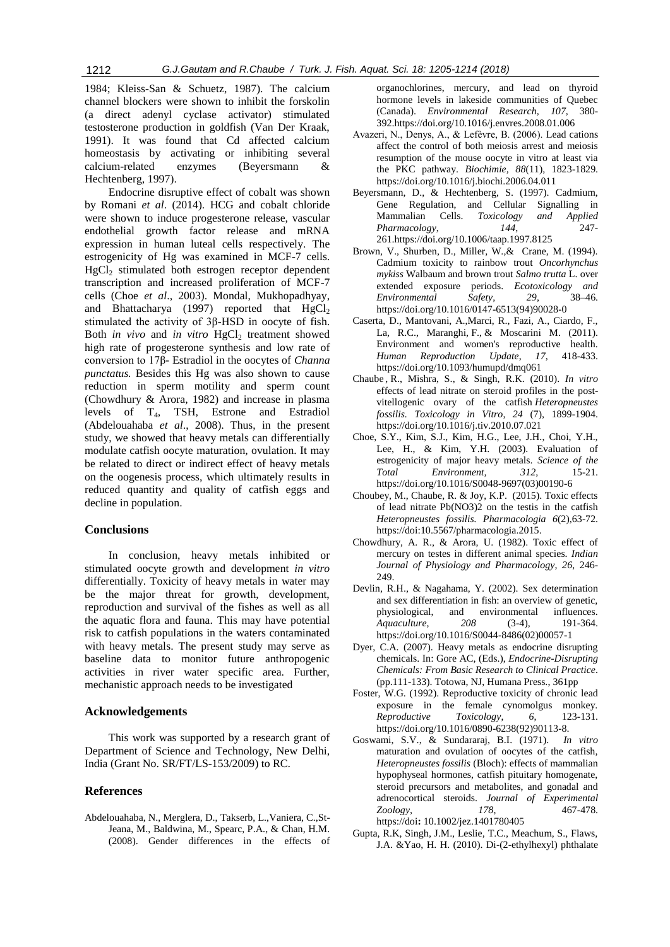1984; Kleiss-San & Schuetz, 1987). The calcium channel blockers were shown to inhibit the forskolin (a direct adenyl cyclase activator) stimulated testosterone production in goldfish (Van Der Kraak, 1991). It was found that Cd affected calcium homeostasis by activating or inhibiting several calcium-related enzymes (Beyersmann & Hechtenberg, 1997).

Endocrine disruptive effect of cobalt was shown by Romani *et al*. (2014). HCG and cobalt chloride were shown to induce progesterone release, vascular endothelial growth factor release and mRNA expression in human luteal cells respectively. The estrogenicity of Hg was examined in MCF-7 cells.  $HgCl<sub>2</sub>$  stimulated both estrogen receptor dependent transcription and increased proliferation of MCF-7 cells (Choe *et al*., 2003). Mondal, Mukhopadhyay, and Bhattacharya (1997) reported that  $HgCl<sub>2</sub>$ stimulated the activity of 3β-HSD in oocyte of fish. Both *in vivo* and *in vitro* HgCl<sub>2</sub> treatment showed high rate of progesterone synthesis and low rate of conversion to 17β- Estradiol in the oocytes of *Channa punctatus.* Besides this Hg was also shown to cause reduction in sperm motility and sperm count (Chowdhury & Arora, 1982) and increase in plasma levels of T4, TSH, Estrone and Estradiol (Abdelouahaba *et al*., 2008). Thus, in the present study, we showed that heavy metals can differentially modulate catfish oocyte maturation, ovulation. It may be related to direct or indirect effect of heavy metals on the oogenesis process, which ultimately results in reduced quantity and quality of catfish eggs and decline in population.

## **Conclusions**

In conclusion, heavy metals inhibited or stimulated oocyte growth and development *in vitro* differentially. Toxicity of heavy metals in water may be the major threat for growth, development, reproduction and survival of the fishes as well as all the aquatic flora and fauna. This may have potential risk to catfish populations in the waters contaminated with heavy metals. The present study may serve as baseline data to monitor future anthropogenic activities in river water specific area. Further, mechanistic approach needs to be investigated

## **Acknowledgements**

This work was supported by a research grant of Department of Science and Technology, New Delhi, India (Grant No. SR/FT/LS-153/2009) to RC.

#### **References**

Abdelouahaba, N., Merglera, D., Takserb, L.,Vaniera, C.,St-Jeana, M., Baldwina, M., Spearc, P.A., & Chan, H.M. (2008). Gender differences in the effects of

organochlorines, mercury, and lead on thyroid hormone levels in lakeside communities of Quebec (Canada). *Environmental Research, 107*, 380- 392.https://doi.org/10.1016/j.envres.2008.01.006

- Avazeri, N., Denys, A., & Lefèvre, B. (2006). Lead cations affect the control of both meiosis arrest and meiosis resumption of the mouse oocyte in vitro at least via the PKC pathway. *Biochimie, 88*(11), 1823-1829. https://doi.org/10.1016/j.biochi.2006.04.011
- Beyersmann, D., & Hechtenberg, S. (1997). Cadmium, Gene Regulation, and Cellular Signalling in Mammalian Cells. *Toxicology and Applied Pharmacology*, *144*, 247- 261.https://doi.org/10.1006/taap.1997.8125
- Brown, V., Shurben, D., Miller, W.,& Crane, M. (1994). Cadmium toxicity to rainbow trout *Oncorhynchus mykiss* Walbaum and brown trout *Salmo trutta* L. over extended exposure periods. *Ecotoxicology and Environmental Safety*, *29*, 38–46. https://doi.org/10.1016/0147-6513(94)90028-0
- Caserta, D., Mantovani, A.,Marci, R., Fazi, A., Ciardo, F., La, R.C., Maranghi, F., & Moscarini M. (2011). Environment and women's reproductive health. *Human Reproduction Update*, *17*, 418-433. https://doi.org/10.1093/humupd/dmq061
- Chaube , R., Mishra, S., & Singh, R.K. (2010). *In vitro* effects of lead nitrate on steroid profiles in the postvitellogenic ovary of the catfish *Heteropneustes fossilis. [Toxicology in Vitro](http://www.sciencedirect.com/science/journal/08872333)*, *24* (7), 1899-1904. https://doi.org/10.1016/j.tiv.2010.07.021
- Choe, S.Y., Kim, S.J., Kim, H.G., Lee, J.H., Choi, Y.H., Lee, H., & Kim, Y.H. (2003). Evaluation of estrogenicity of major heavy metals. *Science of the Total Environment, 312*, 15-21. https://doi.org/10.1016/S0048-9697(03)00190-6
- Choubey, M., Chaube, R. & Joy, K.P. (2015). Toxic effects of lead nitrate Pb(NO3)2 on the testis in the catfish *Heteropneustes fossilis. Pharmacologia 6*(2),63-72. https://doi:10.5567/pharmacologia.2015.
- Chowdhury, A. R., & Arora, U. (1982). Toxic effect of mercury on testes in different animal species. *Indian Journal of Physiology and Pharmacology*, *26*, 246- 249
- Devlin, R.H., & Nagahama, Y. (2002). Sex determination and sex differentiation in fish: an overview of genetic, physiological, and environmental influences.<br>Aquaculture. 208 (3-4) 191-364. *Aquaculture*, *208* (3-4), 191-364. https://doi.org/10.1016/S0044-8486(02)00057-1
- Dyer, C.A. (2007). Heavy metals as endocrine disrupting chemicals. In: Gore AC, (Eds.), *Endocrine-Disrupting Chemicals: From Basic Research to Clinical Practice*. (pp.111-133). Totowa, NJ, Humana Press., 361pp
- Foster, W.G. (1992). Reproductive toxicity of chronic lead exposure in the female cynomolgus monkey. *Reproductive Toxicology*, *6*, 123-131. https://doi.org/10.1016/0890-6238(92)90113-8.
- Goswami, S.V., & Sundararaj, B.I. (1971). *In vitro* maturation and ovulation of oocytes of the catfish, *Heteropneustes fossilis* (Bloch): effects of mammalian hypophyseal hormones, catfish pituitary homogenate, steroid precursors and metabolites, and gonadal and adrenocortical steroids. *Journal of Experimental Zoology, 178*, 467-478. https://doi**:** 10.1002/jez.1401780405
- Gupta, R.K, Singh, J.M., Leslie, T.C., Meachum, S., Flaws, J.A. &Yao, H. H. (2010). Di-(2-ethylhexyl) phthalate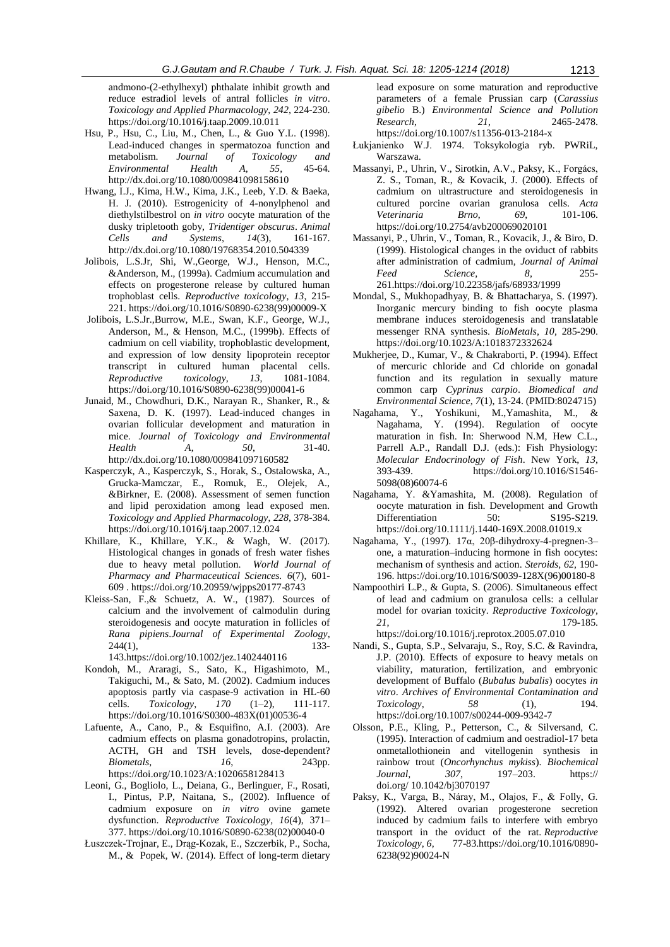andmono-(2-ethylhexyl) phthalate inhibit growth and reduce estradiol levels of antral follicles *in vitro*. *Toxicology and Applied Pharmacology, 242*, 224-230. https://doi.org/10.1016/j.taap.2009.10.011

- Hsu, P., Hsu, C., Liu, M., Chen, L., & Guo Y.L. (1998). Lead-induced changes in spermatozoa function and metabolism. *Journal of Toxicology and Environmental Health A, 55*, 45-64. http://dx.doi.org/10.1080/009841098158610
- Hwang, I.J., Kima, H.W., Kima, J.K., Leeb, Y.D. & Baeka, H. J. (2010). Estrogenicity of 4-nonylphenol and diethylstilbestrol on *in vitro* oocyte maturation of the dusky tripletooth goby, *Tridentiger obscurus*. *Animal Cells and Systems*, *14*(3), 161-167. http://dx.doi.org/10.1080/19768354.2010.504339
- Jolibois, L.S.Jr, Shi, W.,George, W.J., Henson, M.C., &Anderson, M., (1999a). Cadmium accumulation and effects on progesterone release by cultured human trophoblast cells. *Reproductive toxicology*, *13*, 215- 221. https://doi.org/10.1016/S0890-6238(99)00009-X
- Jolibois, L.S.Jr.,Burrow, M.E., Swan, K.F., George, W.J., Anderson, M., & Henson, M.C., (1999b). Effects of cadmium on cell viability, trophoblastic development, and expression of low density lipoprotein receptor transcript in cultured human placental cells. *Reproductive toxicology*, *13*, 1081-1084. https://doi.org/10.1016/S0890-6238(99)00041-6
- Junaid, M., Chowdhuri, D.K., Narayan R., Shanker, R., & Saxena, D. K. (1997). Lead-induced changes in ovarian follicular development and maturation in mice. *Journal of Toxicology and Environmental Health A*, *50*, 31-40. http://dx.doi.org/10.1080/009841097160582
- Kasperczyk, A., Kasperczyk, S., Horak, S., Ostalowska, A., Grucka-Mamczar, E., Romuk, E., Olejek, A., &Birkner, E. (2008). Assessment of semen function and lipid peroxidation among lead exposed men. *Toxicology and Applied Pharmacology*, *228*, 378-384. https://doi.org/10.1016/j.taap.2007.12.024
- Khillare, K., Khillare, Y.K., & Wagh, W. (2017). Histological changes in gonads of fresh water fishes due to heavy metal pollution. *World Journal of Pharmacy and Pharmaceutical Sciences. 6*(7), 601- 609 . https://doi.org/10.20959/wjpps20177-8743
- Kleiss-San, F.,& Schuetz, A. W., (1987). Sources of calcium and the involvement of calmodulin during steroidogenesis and oocyte maturation in follicles of *Rana pipiens*.*Journal of Experimental Zoology*, 244(1), 133- 143.https://doi.org/10.1002/jez.1402440116
- Kondoh, M., Araragi, S., Sato, K., Higashimoto, M., Takiguchi, M., & Sato, M. (2002). Cadmium induces apoptosis partly via caspase-9 activation in HL-60 cells. *Toxicology*, *170* (1–2), 111-117. https://doi.org/10.1016/S0300-483X(01)00536-4
- Lafuente, A., Cano, P., & Esquifino, A.I. (2003). Are cadmium effects on plasma gonadotropins, prolactin, ACTH, GH and TSH levels, dose-dependent? *Biometals*, *16*, 243pp. https://doi.org/10.1023/A:1020658128413
- Leoni, G., Bogliolo, L., Deiana, G., Berlinguer, F., Rosati, I., Pintus, P.P, [Naitana,](http://www.sciencedirect.com/science/article/pii/S0890623802000400#!) S., (2002). Influence of cadmium exposure on *in vitro* ovine gamete dysfunction. *Reproductive Toxicology, 16*(4), 371– 377. https://doi.org/10.1016/S0890-6238(02)00040-0
- Łuszczek-Trojnar, E., Drąg-Kozak, E., Szczerbik, P., Socha, M., & Popek, W. (2014). Effect of long-term dietary

lead exposure on some maturation and reproductive parameters of a female Prussian carp (*Carassius gibelio* B.) *Environmental Science and Pollution Research*, *21*, 2465-2478. https://doi.org/10.1007/s11356-013-2184-x

- Łukjanienko W.J. 1974. Toksykologia ryb. PWRiL, Warszawa.
- Massanyi, P., Uhrin, V., Sirotkin, A.V., Paksy, K., Forgács, Z. S., Toman, R., & Kovacik, J. (2000). Effects of cadmium on ultrastructure and steroidogenesis in cultured porcine ovarian granulosa cells. *Acta Veterinaria Brno*, *69*, 101-106. https://doi.org/10.2754/avb200069020101
- Massanyi, P., Uhrin, V., Toman, R., Kovacik, J., & Biro, D. (1999). Histological changes in the oviduct of rabbits after administration of cadmium, *Journal of Animal Feed Science*, *8*, 255- 261.https://doi.org/10.22358/jafs/68933/1999
- Mondal, S., Mukhopadhyay, B. & Bhattacharya, S. (1997). Inorganic mercury binding to fish oocyte plasma membrane induces steroidogenesis and translatable messenger RNA synthesis. *BioMetals*, *10*, 285-290. https://doi.org/10.1023/A:1018372332624
- Mukherjee, D., Kumar, V., & Chakraborti, P. (1994). Effect of mercuric chloride and Cd chloride on gonadal function and its regulation in sexually mature common carp *Cyprinus carpio*. *Biomedical and Environmental Science*, *7*(1), 13-24. (PMID:8024715)
- Nagahama, Y., Yoshikuni, M.,Yamashita, M., & Nagahama, Y. (1994). Regulation of oocyte maturation in fish. In: Sherwood N.M, Hew C.L., Parrell A.P., Randall D.J. (eds.): Fish Physiology: *Molecular Endocrinology of Fish*. New York, *13*, 393-439. https://doi.org/10.1016/S1546- 5098(08)60074-6
- Nagahama, Y. &Yamashita, M. (2008). Regulation of oocyte maturation in fish. Development and Growth Differentiation 50: S195-S219. https://doi.org/10.1111/j.1440-169X.2008.01019.x
- Nagahama, Y., (1997). 17α, 20β-dihydroxy-4-pregnen-3– one, a maturation–inducing hormone in fish oocytes: mechanism of synthesis and action. *Steroids*, *62*, 190- 196. https://doi.org/10.1016/S0039-128X(96)00180-8
- Nampoothiri L.P., & Gupta, S. (2006). Simultaneous effect of lead and cadmium on granulosa cells: a cellular model for ovarian toxicity. *Reproductive Toxicology*, *21*, 179-185.
- https://doi.org/10.1016/j.reprotox.2005.07.010 Nandi, S., Gupta, S.P., Selvaraju, S., Roy, S.C. & Ravindra, J.P. (2010). Effects of exposure to heavy metals on viability, maturation, fertilization, and embryonic
- development of Buffalo (*Bubalus bubalis*) oocytes *in vitro*. *Archives of Environmental Contamination and Toxicology*, *58* (1), 194. https://doi.org/10.1007/s00244-009-9342-7
- Olsson, P.E., Kling, P., Petterson, C., & Silversand, C. (1995). Interaction of cadmium and oestradiol-17 beta onmetallothionein and vitellogenin synthesis in rainbow trout (*Oncorhynchus mykiss*). *Biochemical Journal, 307*, 197–203. https:// doi.org/ 10.1042/bj3070197
- Paksy, K., Varga, B., Náray, M., Olajos, F., & Folly, G. (1992). Altered ovarian progesterone secretion induced by cadmium fails to interfere with embryo transport in the oviduct of the rat. *Reproductive Toxicology*, *6*, 77-83.https://doi.org/10.1016/0890- 6238(92)90024-N